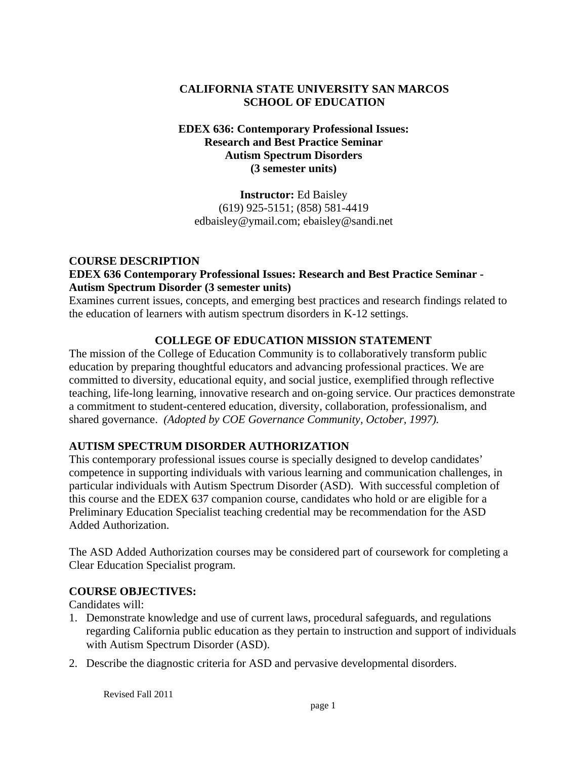# **CALIFORNIA STATE UNIVERSITY SAN MARCOS SCHOOL OF EDUCATION**

#### **EDEX 636: Contemporary Professional Issues: Research and Best Practice Seminar Autism Spectrum Disorders (3 semester units)**

**Instructor:** Ed Baisley (619) 925-5151; (858) 581-4419 edbaisley@ymail.com; ebaisley@sandi.net

#### **COURSE DESCRIPTION EDEX 636 Contemporary Professional Issues: Research and Best Practice Seminar - Autism Spectrum Disorder (3 semester units)**

Examines current issues, concepts, and emerging best practices and research findings related to the education of learners with autism spectrum disorders in K-12 settings.

# **COLLEGE OF EDUCATION MISSION STATEMENT**

The mission of the College of Education Community is to collaboratively transform public education by preparing thoughtful educators and advancing professional practices. We are committed to diversity, educational equity, and social justice, exemplified through reflective teaching, life-long learning, innovative research and on-going service. Our practices demonstrate a commitment to student-centered education, diversity, collaboration, professionalism, and shared governance. *(Adopted by COE Governance Community, October, 1997).* 

# **AUTISM SPECTRUM DISORDER AUTHORIZATION**

This contemporary professional issues course is specially designed to develop candidates' competence in supporting individuals with various learning and communication challenges, in particular individuals with Autism Spectrum Disorder (ASD). With successful completion of this course and the EDEX 637 companion course, candidates who hold or are eligible for a Preliminary Education Specialist teaching credential may be recommendation for the ASD Added Authorization.

The ASD Added Authorization courses may be considered part of coursework for completing a Clear Education Specialist program.

## **COURSE OBJECTIVES:**

Candidates will:

- 1. Demonstrate knowledge and use of current laws, procedural safeguards, and regulations regarding California public education as they pertain to instruction and support of individuals with Autism Spectrum Disorder (ASD).
- 2. Describe the diagnostic criteria for ASD and pervasive developmental disorders.

Revised Fall 2011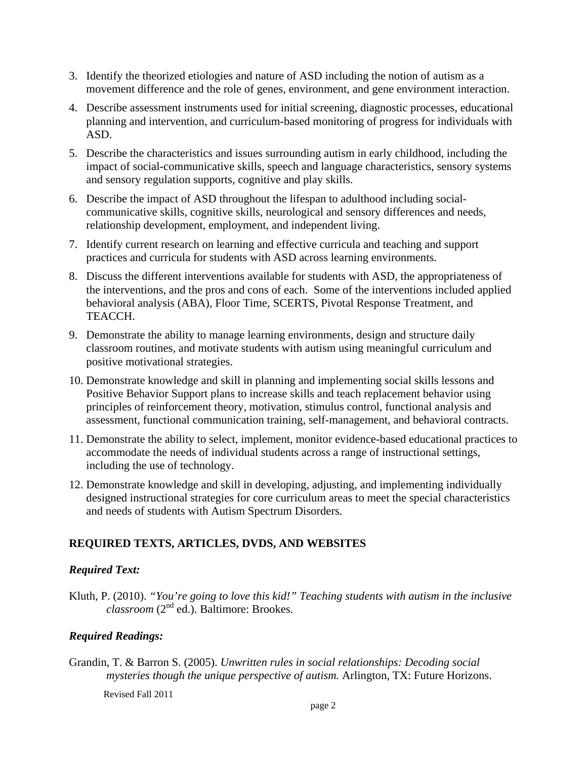- 3. Identify the theorized etiologies and nature of ASD including the notion of autism as a movement difference and the role of genes, environment, and gene environment interaction.
- 4. Describe assessment instruments used for initial screening, diagnostic processes, educational planning and intervention, and curriculum-based monitoring of progress for individuals with ASD.
- 5. Describe the characteristics and issues surrounding autism in early childhood, including the impact of social-communicative skills, speech and language characteristics, sensory systems and sensory regulation supports, cognitive and play skills.
- 6. Describe the impact of ASD throughout the lifespan to adulthood including socialcommunicative skills, cognitive skills, neurological and sensory differences and needs, relationship development, employment, and independent living.
- 7. Identify current research on learning and effective curricula and teaching and support practices and curricula for students with ASD across learning environments.
- 8. Discuss the different interventions available for students with ASD, the appropriateness of the interventions, and the pros and cons of each. Some of the interventions included applied behavioral analysis (ABA), Floor Time, SCERTS, Pivotal Response Treatment, and TEACCH.
- 9. Demonstrate the ability to manage learning environments, design and structure daily classroom routines, and motivate students with autism using meaningful curriculum and positive motivational strategies.
- 10. Demonstrate knowledge and skill in planning and implementing social skills lessons and Positive Behavior Support plans to increase skills and teach replacement behavior using principles of reinforcement theory, motivation, stimulus control, functional analysis and assessment, functional communication training, self-management, and behavioral contracts.
- 11. Demonstrate the ability to select, implement, monitor evidence-based educational practices to accommodate the needs of individual students across a range of instructional settings, including the use of technology.
- 12. Demonstrate knowledge and skill in developing, adjusting, and implementing individually designed instructional strategies for core curriculum areas to meet the special characteristics and needs of students with Autism Spectrum Disorders.

# **REQUIRED TEXTS, ARTICLES, DVDS, AND WEBSITES**

## *Required Text:*

Kluth, P. (2010). *"You're going to love this kid!" Teaching students with autism in the inclusive classroom* (2nd ed.). Baltimore: Brookes.

## *Required Readings:*

Grandin, T. & Barron S. (2005). *Unwritten rules in social relationships: Decoding social mysteries though the unique perspective of autism.* Arlington, TX: Future Horizons.

Revised Fall 2011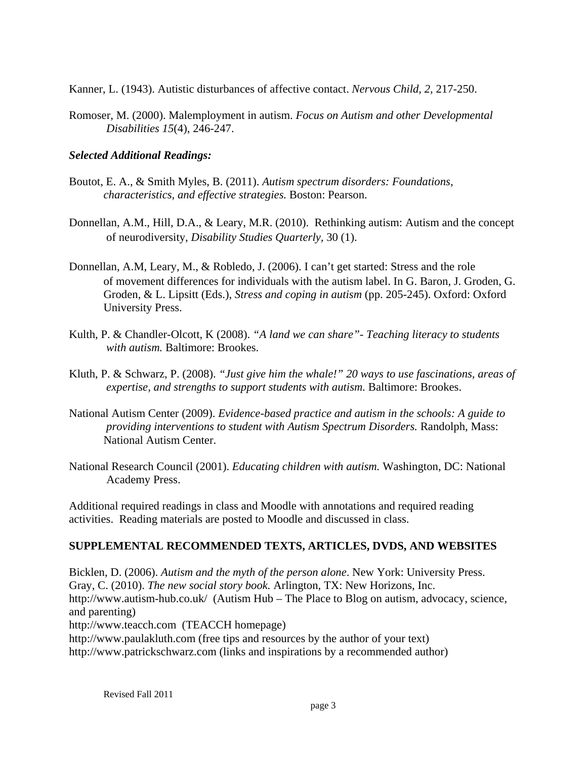Kanner, L. (1943). Autistic disturbances of affective contact. *Nervous Child, 2,* 217-250.

Romoser, M. (2000). Malemployment in autism. *Focus on Autism and other Developmental Disabilities 15*(4), 246-247.

# *Selected Additional Readings:*

- *characteristics, and effective strategies. Boston: Pearson.* Boutot, E. A., & Smith Myles, B. (2011). *Autism spectrum disorders: Foundations,*
- *characteristics, and effective strategies.* Boston: Pearson. Donnellan, A.M., Hill, D.A., & Leary, M.R. (2010). Rethinking autism: Autism and the concept of neurodiversity, *Disability Studies Quarterly,* 30 (1).
- Donnellan, A.M, Leary, M., & Robledo, J. (2006). I can't get started: Stress and the role of movement differences for individuals with the autism label. In G. Baron, J. Groden, G. Groden, & L. Lipsitt (Eds.), *Stress and coping in autism* (pp. 205-245). Oxford: Oxford University Press.
- Kulth, P. & Chandler-Olcott, K (2008). *"A land we can share"- Teaching literacy to students with autism.* Baltimore: Brookes.
- Kluth, P. & Schwarz, P. (2008). *"Just give him the whale!" 20 ways to use fascinations, areas of expertise, and strengths to support students with autism.* Baltimore: Brookes.
- National Autism Center (2009). *Evidence-based practice and autism in the schools: A guide to providing interventions to student with Autism Spectrum Disorders.* Randolph, Mass: National Autism Center.
- National Research Council (2001). *Educating children with autism.* Washington, DC: National Academy Press.

Additional required readings in class and Moodle with annotations and required reading activities. Reading materials are posted to Moodle and discussed in class.

# **SUPPLEMENTAL RECOMMENDED TEXTS, ARTICLES, DVDS, AND WEBSITES**

Bicklen, D. (2006). *Autism and the myth of the person alone*. New York: University Press. Gray, C. (2010). *The new social story book.* Arlington, TX: New Horizons, Inc. http://www.autism-hub.co.uk/ (Autism Hub – The Place to Blog on autism, advocacy, science, and parenting) http://www.teacch.com (TEACCH homepage) http://www.paulakluth.com (free tips and resources by the author of your text)

http://www.patrickschwarz.com (links and inspirations by a recommended author)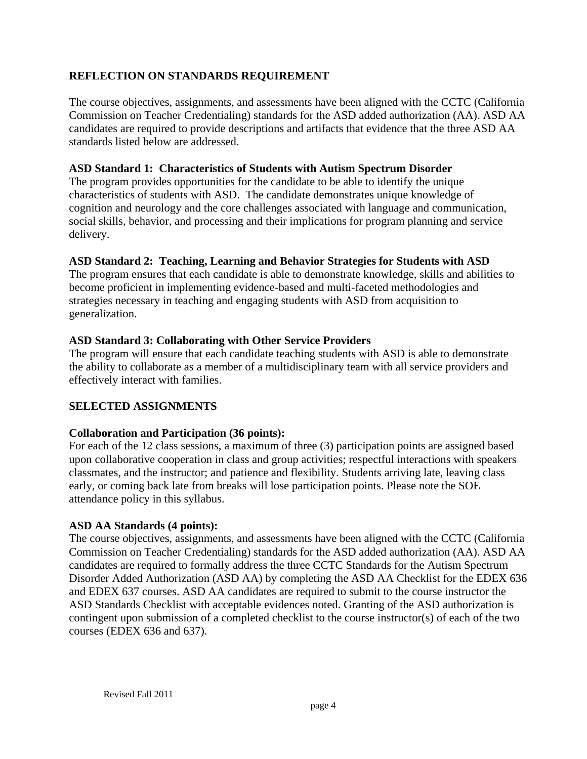# **REFLECTION ON STANDARDS REQUIREMENT**

The course objectives, assignments, and assessments have been aligned with the CCTC (California Commission on Teacher Credentialing) standards for the ASD added authorization (AA). ASD AA candidates are required to provide descriptions and artifacts that evidence that the three ASD AA standards listed below are addressed.

#### **ASD Standard 1: Characteristics of Students with Autism Spectrum Disorder**

The program provides opportunities for the candidate to be able to identify the unique characteristics of students with ASD. The candidate demonstrates unique knowledge of cognition and neurology and the core challenges associated with language and communication, social skills, behavior, and processing and their implications for program planning and service delivery.

## **ASD Standard 2: Teaching, Learning and Behavior Strategies for Students with ASD**

The program ensures that each candidate is able to demonstrate knowledge, skills and abilities to become proficient in implementing evidence-based and multi-faceted methodologies and strategies necessary in teaching and engaging students with ASD from acquisition to generalization.

# **ASD Standard 3: Collaborating with Other Service Providers**

The program will ensure that each candidate teaching students with ASD is able to demonstrate the ability to collaborate as a member of a multidisciplinary team with all service providers and effectively interact with families.

# **SELECTED ASSIGNMENTS**

## **Collaboration and Participation (36 points):**

For each of the 12 class sessions, a maximum of three (3) participation points are assigned based upon collaborative cooperation in class and group activities; respectful interactions with speakers classmates, and the instructor; and patience and flexibility. Students arriving late, leaving class early, or coming back late from breaks will lose participation points. Please note the SOE attendance policy in this syllabus.

## **ASD AA Standards (4 points):**

The course objectives, assignments, and assessments have been aligned with the CCTC (California Commission on Teacher Credentialing) standards for the ASD added authorization (AA). ASD AA candidates are required to formally address the three CCTC Standards for the Autism Spectrum Disorder Added Authorization (ASD AA) by completing the ASD AA Checklist for the EDEX 636 and EDEX 637 courses. ASD AA candidates are required to submit to the course instructor the ASD Standards Checklist with acceptable evidences noted. Granting of the ASD authorization is contingent upon submission of a completed checklist to the course instructor(s) of each of the two courses (EDEX 636 and 637).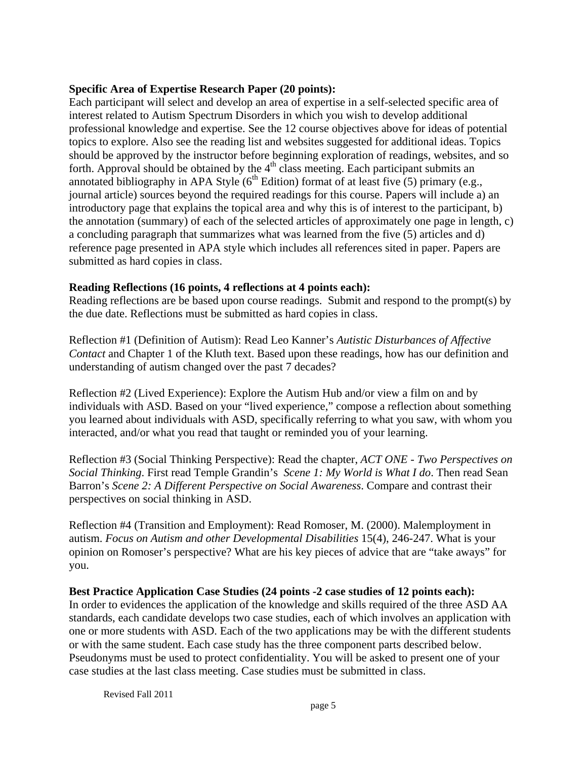## **Specific Area of Expertise Research Paper (20 points):**

Each participant will select and develop an area of expertise in a self-selected specific area of interest related to Autism Spectrum Disorders in which you wish to develop additional professional knowledge and expertise. See the 12 course objectives above for ideas of potential topics to explore. Also see the reading list and websites suggested for additional ideas. Topics should be approved by the instructor before beginning exploration of readings, websites, and so forth. Approval should be obtained by the  $4<sup>th</sup>$  class meeting. Each participant submits an annotated bibliography in APA Style  $(6^{th}$  Edition) format of at least five (5) primary (e.g., journal article) sources beyond the required readings for this course. Papers will include a) an introductory page that explains the topical area and why this is of interest to the participant, b) the annotation (summary) of each of the selected articles of approximately one page in length, c) a concluding paragraph that summarizes what was learned from the five (5) articles and d) reference page presented in APA style which includes all references sited in paper. Papers are submitted as hard copies in class.

#### **Reading Reflections (16 points, 4 reflections at 4 points each):**

Reading reflections are be based upon course readings. Submit and respond to the prompt(s) by the due date. Reflections must be submitted as hard copies in class.

Reflection #1 (Definition of Autism): Read Leo Kanner's *Autistic Disturbances of Affective Contact* and Chapter 1 of the Kluth text. Based upon these readings, how has our definition and understanding of autism changed over the past 7 decades?

Reflection #2 (Lived Experience): Explore the Autism Hub and/or view a film on and by individuals with ASD. Based on your "lived experience," compose a reflection about something you learned about individuals with ASD, specifically referring to what you saw, with whom you interacted, and/or what you read that taught or reminded you of your learning.

Reflection #3 (Social Thinking Perspective): Read the chapter, *ACT ONE - Two Perspectives on Social Thinking*. First read Temple Grandin's *Scene 1: My World is What I do*. Then read Sean Barron's *Scene 2: A Different Perspective on Social Awareness*. Compare and contrast their perspectives on social thinking in ASD.

Reflection #4 (Transition and Employment): Read Romoser, M. (2000). Malemployment in autism. *Focus on Autism and other Developmental Disabilities* 15(4), 246-247. What is your opinion on Romoser's perspective? What are his key pieces of advice that are "take aways" for you.

## **Best Practice Application Case Studies (24 points -2 case studies of 12 points each):**

In order to evidences the application of the knowledge and skills required of the three ASD AA standards, each candidate develops two case studies, each of which involves an application with one or more students with ASD. Each of the two applications may be with the different students or with the same student. Each case study has the three component parts described below. Pseudonyms must be used to protect confidentiality. You will be asked to present one of your case studies at the last class meeting. Case studies must be submitted in class.

Revised Fall 2011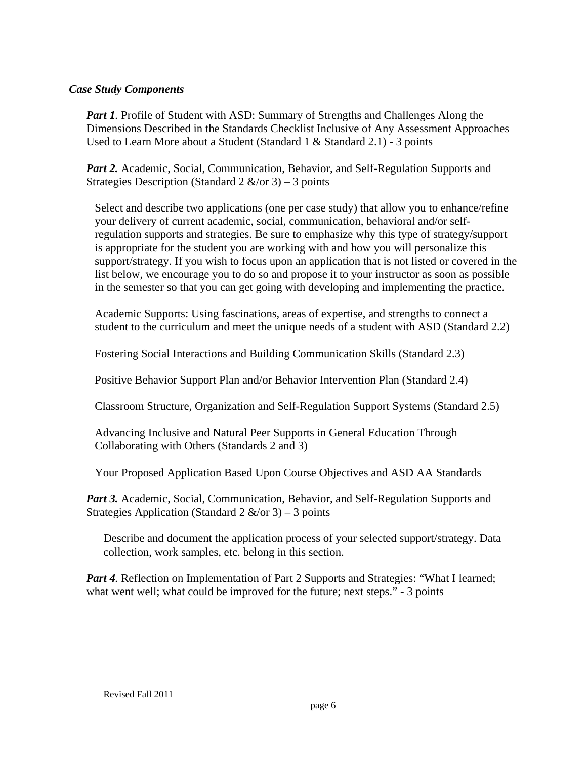#### *Case Study Components*

*Part 1.* Profile of Student with ASD: Summary of Strengths and Challenges Along the Dimensions Described in the Standards Checklist Inclusive of Any Assessment Approaches Used to Learn More about a Student (Standard 1 & Standard 2.1) - 3 points

Part 2. Academic, Social, Communication, Behavior, and Self-Regulation Supports and Strategies Description (Standard 2  $\&$ /or 3) – 3 points

Select and describe two applications (one per case study) that allow you to enhance/refine your delivery of current academic, social, communication, behavioral and/or selfregulation supports and strategies. Be sure to emphasize why this type of strategy/support is appropriate for the student you are working with and how you will personalize this support/strategy. If you wish to focus upon an application that is not listed or covered in the list below, we encourage you to do so and propose it to your instructor as soon as possible in the semester so that you can get going with developing and implementing the practice.

Academic Supports: Using fascinations, areas of expertise, and strengths to connect a student to the curriculum and meet the unique needs of a student with ASD (Standard 2.2)

Fostering Social Interactions and Building Communication Skills (Standard 2.3)

Positive Behavior Support Plan and/or Behavior Intervention Plan (Standard 2.4)

Classroom Structure, Organization and Self-Regulation Support Systems (Standard 2.5)

Advancing Inclusive and Natural Peer Supports in General Education Through Collaborating with Others (Standards 2 and 3)

Your Proposed Application Based Upon Course Objectives and ASD AA Standards

*Part 3.* Academic, Social, Communication, Behavior, and Self-Regulation Supports and Strategies Application (Standard 2  $\&$ /or 3) – 3 points

Describe and document the application process of your selected support/strategy. Data collection, work samples, etc. belong in this section.

*Part 4.* Reflection on Implementation of Part 2 Supports and Strategies: "What I learned; what went well; what could be improved for the future; next steps." - 3 points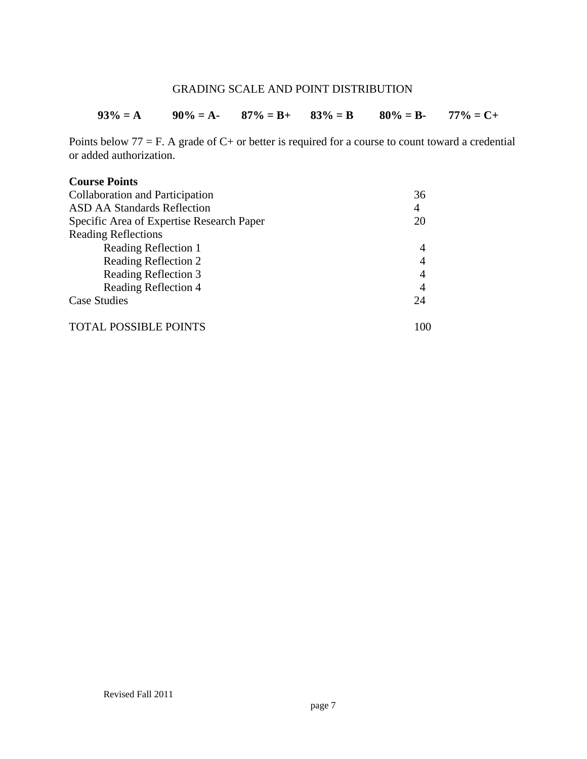# GRADING SCALE AND POINT DISTRIBUTION

| $93\% = A$ | $90\% = A - 87\% = B + 83\% = B$ | $80\% = B$ - | $77\% = C +$ |
|------------|----------------------------------|--------------|--------------|
|            |                                  |              |              |

Points below  $77 = F$ . A grade of  $C +$  or better is required for a course to count toward a credential or added authorization.

#### **Course Points**

| Collaboration and Participation           | 36             |
|-------------------------------------------|----------------|
| <b>ASD AA Standards Reflection</b>        | $\overline{4}$ |
| Specific Area of Expertise Research Paper | 20             |
| <b>Reading Reflections</b>                |                |
| Reading Reflection 1                      | 4              |
| Reading Reflection 2                      | $\overline{4}$ |
| Reading Reflection 3                      | 4              |
| Reading Reflection 4                      | 4              |
| <b>Case Studies</b>                       | 24             |
| <b>TOTAL POSSIBLE POINTS</b>              | 100            |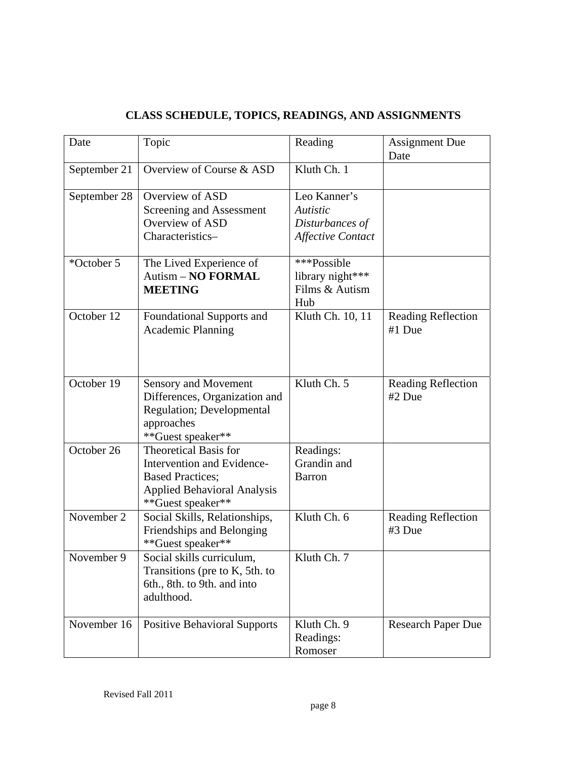# **CLASS SCHEDULE, TOPICS, READINGS, AND ASSIGNMENTS**

| Date         | Topic                                                                                                                                            | Reading                                                                        | <b>Assignment Due</b><br>Date       |
|--------------|--------------------------------------------------------------------------------------------------------------------------------------------------|--------------------------------------------------------------------------------|-------------------------------------|
| September 21 | Overview of Course & ASD                                                                                                                         | Kluth Ch. 1                                                                    |                                     |
| September 28 | Overview of ASD<br>Screening and Assessment<br>Overview of ASD<br>Characteristics-                                                               | Leo Kanner's<br><b>Autistic</b><br>Disturbances of<br><b>Affective Contact</b> |                                     |
| *October 5   | The Lived Experience of<br><b>Autism - NO FORMAL</b><br><b>MEETING</b>                                                                           | ***Possible<br>library night***<br>Films & Autism<br>Hub                       |                                     |
| October 12   | Foundational Supports and<br><b>Academic Planning</b>                                                                                            | Kluth Ch. 10, 11                                                               | <b>Reading Reflection</b><br>#1 Due |
| October 19   | <b>Sensory and Movement</b><br>Differences, Organization and<br><b>Regulation</b> ; Developmental<br>approaches<br>**Guest speaker**             | Kluth Ch. 5                                                                    | <b>Reading Reflection</b><br>#2 Due |
| October 26   | <b>Theoretical Basis for</b><br>Intervention and Evidence-<br><b>Based Practices;</b><br><b>Applied Behavioral Analysis</b><br>**Guest speaker** | Readings:<br>Grandin and<br><b>Barron</b>                                      |                                     |
| November 2   | Social Skills, Relationships,<br>Friendships and Belonging<br>**Guest speaker**                                                                  | Kluth Ch. 6                                                                    | <b>Reading Reflection</b><br>#3 Due |
| November 9   | Social skills curriculum,<br>Transitions (pre to K, 5th. to<br>6th., 8th. to 9th. and into<br>adulthood.                                         | Kluth Ch. 7                                                                    |                                     |
| November 16  | <b>Positive Behavioral Supports</b>                                                                                                              | Kluth Ch. 9<br>Readings:<br>Romoser                                            | <b>Research Paper Due</b>           |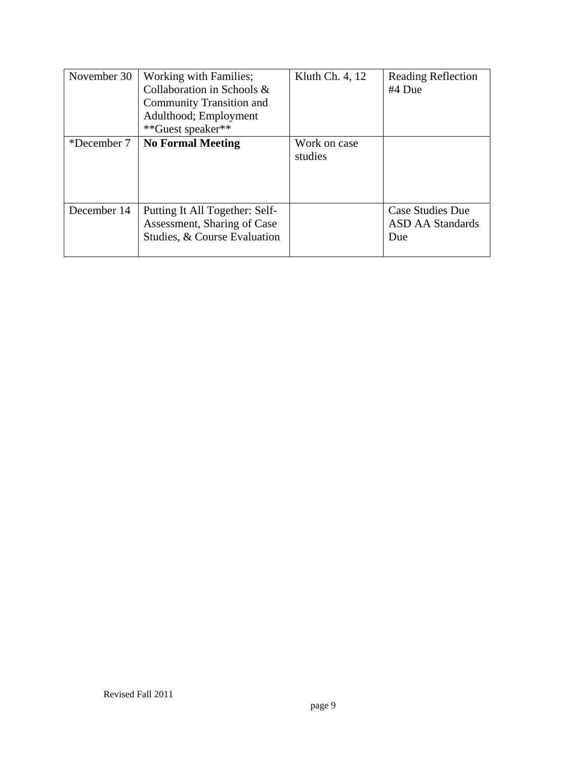| November 30 | Working with Families;<br>Collaboration in Schools &<br>Community Transition and<br>Adulthood; Employment<br>**Guest speaker** | Kluth Ch. 4, 12         | <b>Reading Reflection</b><br>#4 Due                |
|-------------|--------------------------------------------------------------------------------------------------------------------------------|-------------------------|----------------------------------------------------|
| *December 7 | <b>No Formal Meeting</b>                                                                                                       | Work on case<br>studies |                                                    |
| December 14 | Putting It All Together: Self-<br>Assessment, Sharing of Case<br>Studies, & Course Evaluation                                  |                         | <b>Case Studies Due</b><br>ASD AA Standards<br>Due |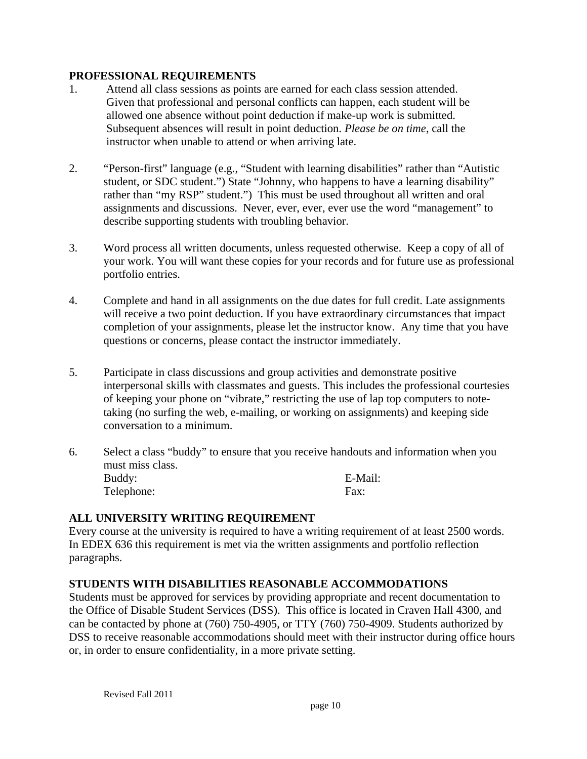#### **PROFESSIONAL REQUIREMENTS**

- Given that professional and personal conflicts can happen, each student will be 1. Attend all class sessions as points are earned for each class session attended. allowed one absence without point deduction if make-up work is submitted. Subsequent absences will result in point deduction. *Please be on time*, call the instructor when unable to attend or when arriving late.
- 2. "Person-first" language (e.g., "Student with learning disabilities" rather than "Autistic student, or SDC student.") State "Johnny, who happens to have a learning disability" rather than "my RSP" student.") This must be used throughout all written and oral assignments and discussions. Never, ever, ever, ever use the word "management" to describe supporting students with troubling behavior.
- 3. Word process all written documents, unless requested otherwise. Keep a copy of all of your work. You will want these copies for your records and for future use as professional portfolio entries.
- 4. Complete and hand in all assignments on the due dates for full credit. Late assignments will receive a two point deduction. If you have extraordinary circumstances that impact completion of your assignments, please let the instructor know. Any time that you have questions or concerns, please contact the instructor immediately.
- 5. Participate in class discussions and group activities and demonstrate positive interpersonal skills with classmates and guests. This includes the professional courtesies of keeping your phone on "vibrate," restricting the use of lap top computers to notetaking (no surfing the web, e-mailing, or working on assignments) and keeping side conversation to a minimum.
- 6. Select a class "buddy" to ensure that you receive handouts and information when you must miss class. Buddy: E-Mail: Telephone: Fax:

## **ALL UNIVERSITY WRITING REQUIREMENT**

Every course at the university is required to have a writing requirement of at least 2500 words. In EDEX 636 this requirement is met via the written assignments and portfolio reflection paragraphs.

#### **STUDENTS WITH DISABILITIES REASONABLE ACCOMMODATIONS**

Students must be approved for services by providing appropriate and recent documentation to the Office of Disable Student Services (DSS). This office is located in Craven Hall 4300, and can be contacted by phone at (760) 750-4905, or TTY (760) 750-4909. Students authorized by DSS to receive reasonable accommodations should meet with their instructor during office hours or, in order to ensure confidentiality, in a more private setting.